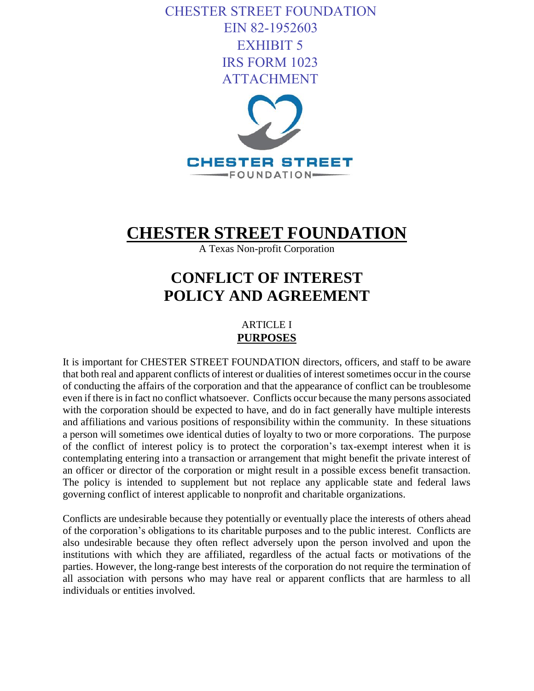EXHIBIT 5 IRS FORM 1023 ATTACHMENT CHESTER STREET FOUNDATION EIN 82-1952603



# **CHESTER STREET FOUNDATION**

A Texas Non-profit Corporation

# **CONFLICT OF INTEREST POLICY AND AGREEMENT**

## ARTICLE I **PURPOSES**

It is important for CHESTER STREET FOUNDATION directors, officers, and staff to be aware that both real and apparent conflicts of interest or dualities of interest sometimes occur in the course of conducting the affairs of the corporation and that the appearance of conflict can be troublesome even if there is in fact no conflict whatsoever. Conflicts occur because the many persons associated with the corporation should be expected to have, and do in fact generally have multiple interests and affiliations and various positions of responsibility within the community. In these situations a person will sometimes owe identical duties of loyalty to two or more corporations. The purpose of the conflict of interest policy is to protect the corporation's tax-exempt interest when it is contemplating entering into a transaction or arrangement that might benefit the private interest of an officer or director of the corporation or might result in a possible excess benefit transaction. The policy is intended to supplement but not replace any applicable state and federal laws governing conflict of interest applicable to nonprofit and charitable organizations.

Conflicts are undesirable because they potentially or eventually place the interests of others ahead of the corporation's obligations to its charitable purposes and to the public interest. Conflicts are also undesirable because they often reflect adversely upon the person involved and upon the institutions with which they are affiliated, regardless of the actual facts or motivations of the parties. However, the long-range best interests of the corporation do not require the termination of all association with persons who may have real or apparent conflicts that are harmless to all individuals or entities involved.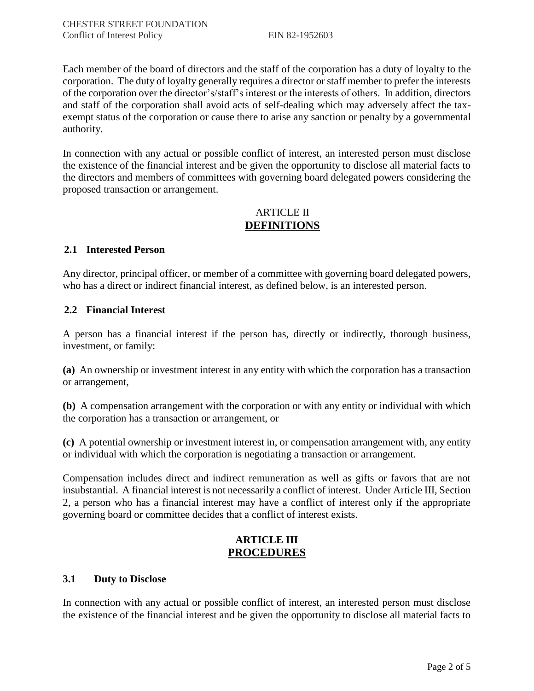Each member of the board of directors and the staff of the corporation has a duty of loyalty to the corporation. The duty of loyalty generally requires a director or staff member to prefer the interests of the corporation over the director's/staff's interest or the interests of others. In addition, directors and staff of the corporation shall avoid acts of self-dealing which may adversely affect the taxexempt status of the corporation or cause there to arise any sanction or penalty by a governmental authority.

In connection with any actual or possible conflict of interest, an interested person must disclose the existence of the financial interest and be given the opportunity to disclose all material facts to the directors and members of committees with governing board delegated powers considering the proposed transaction or arrangement.

## ARTICLE II **DEFINITIONS**

## **2.1 Interested Person**

Any director, principal officer, or member of a committee with governing board delegated powers, who has a direct or indirect financial interest, as defined below, is an interested person.

## **2.2 Financial Interest**

A person has a financial interest if the person has, directly or indirectly, thorough business, investment, or family:

**(a)** An ownership or investment interest in any entity with which the corporation has a transaction or arrangement,

**(b)** A compensation arrangement with the corporation or with any entity or individual with which the corporation has a transaction or arrangement, or

**(c)** A potential ownership or investment interest in, or compensation arrangement with, any entity or individual with which the corporation is negotiating a transaction or arrangement.

Compensation includes direct and indirect remuneration as well as gifts or favors that are not insubstantial. A financial interest is not necessarily a conflict of interest. Under Article III, Section 2, a person who has a financial interest may have a conflict of interest only if the appropriate governing board or committee decides that a conflict of interest exists.

## **ARTICLE III PROCEDURES**

#### **3.1 Duty to Disclose**

In connection with any actual or possible conflict of interest, an interested person must disclose the existence of the financial interest and be given the opportunity to disclose all material facts to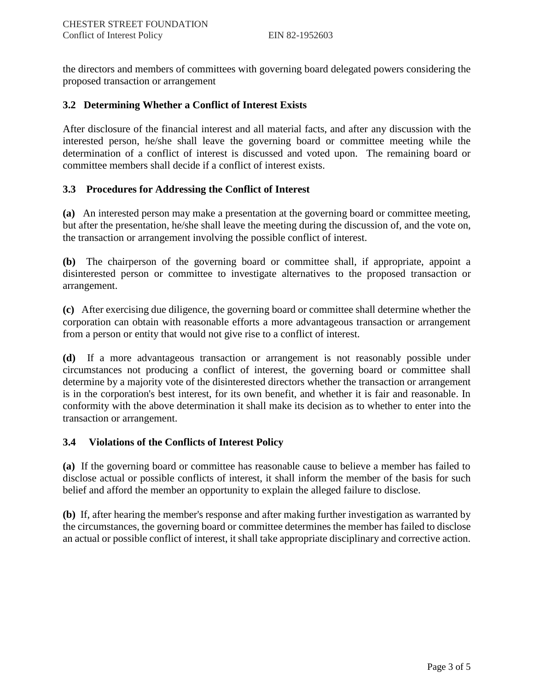the directors and members of committees with governing board delegated powers considering the proposed transaction or arrangement

#### **3.2 Determining Whether a Conflict of Interest Exists**

After disclosure of the financial interest and all material facts, and after any discussion with the interested person, he/she shall leave the governing board or committee meeting while the determination of a conflict of interest is discussed and voted upon. The remaining board or committee members shall decide if a conflict of interest exists.

#### **3.3 Procedures for Addressing the Conflict of Interest**

**(a)** An interested person may make a presentation at the governing board or committee meeting, but after the presentation, he/she shall leave the meeting during the discussion of, and the vote on, the transaction or arrangement involving the possible conflict of interest.

**(b)** The chairperson of the governing board or committee shall, if appropriate, appoint a disinterested person or committee to investigate alternatives to the proposed transaction or arrangement.

**(c)** After exercising due diligence, the governing board or committee shall determine whether the corporation can obtain with reasonable efforts a more advantageous transaction or arrangement from a person or entity that would not give rise to a conflict of interest.

**(d)** If a more advantageous transaction or arrangement is not reasonably possible under circumstances not producing a conflict of interest, the governing board or committee shall determine by a majority vote of the disinterested directors whether the transaction or arrangement is in the corporation's best interest, for its own benefit, and whether it is fair and reasonable. In conformity with the above determination it shall make its decision as to whether to enter into the transaction or arrangement.

#### **3.4 Violations of the Conflicts of Interest Policy**

**(a)** If the governing board or committee has reasonable cause to believe a member has failed to disclose actual or possible conflicts of interest, it shall inform the member of the basis for such belief and afford the member an opportunity to explain the alleged failure to disclose.

**(b)** If, after hearing the member's response and after making further investigation as warranted by the circumstances, the governing board or committee determines the member has failed to disclose an actual or possible conflict of interest, it shall take appropriate disciplinary and corrective action.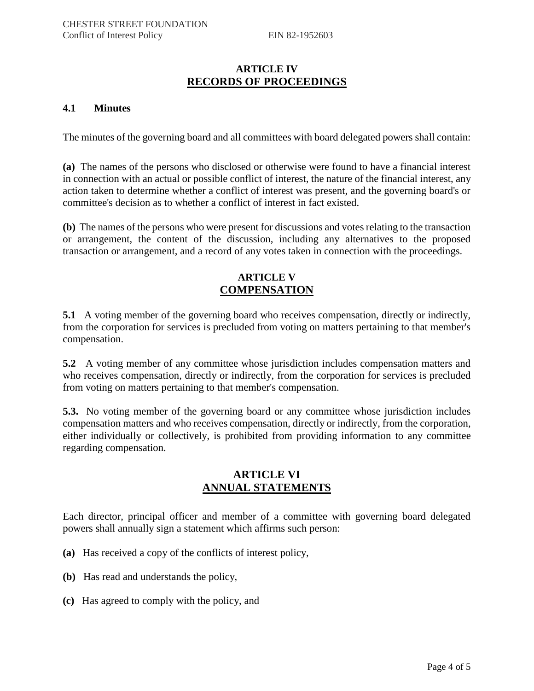#### **ARTICLE IV RECORDS OF PROCEEDINGS**

#### **4.1 Minutes**

The minutes of the governing board and all committees with board delegated powers shall contain:

**(a)** The names of the persons who disclosed or otherwise were found to have a financial interest in connection with an actual or possible conflict of interest, the nature of the financial interest, any action taken to determine whether a conflict of interest was present, and the governing board's or committee's decision as to whether a conflict of interest in fact existed.

**(b)** The names of the persons who were present for discussions and votes relating to the transaction or arrangement, the content of the discussion, including any alternatives to the proposed transaction or arrangement, and a record of any votes taken in connection with the proceedings.

### **ARTICLE V COMPENSATION**

**5.1** A voting member of the governing board who receives compensation, directly or indirectly, from the corporation for services is precluded from voting on matters pertaining to that member's compensation.

**5.2** A voting member of any committee whose jurisdiction includes compensation matters and who receives compensation, directly or indirectly, from the corporation for services is precluded from voting on matters pertaining to that member's compensation.

**5.3.** No voting member of the governing board or any committee whose jurisdiction includes compensation matters and who receives compensation, directly or indirectly, from the corporation, either individually or collectively, is prohibited from providing information to any committee regarding compensation.

#### **ARTICLE VI ANNUAL STATEMENTS**

Each director, principal officer and member of a committee with governing board delegated powers shall annually sign a statement which affirms such person:

- **(a)** Has received a copy of the conflicts of interest policy,
- **(b)** Has read and understands the policy,
- **(c)** Has agreed to comply with the policy, and